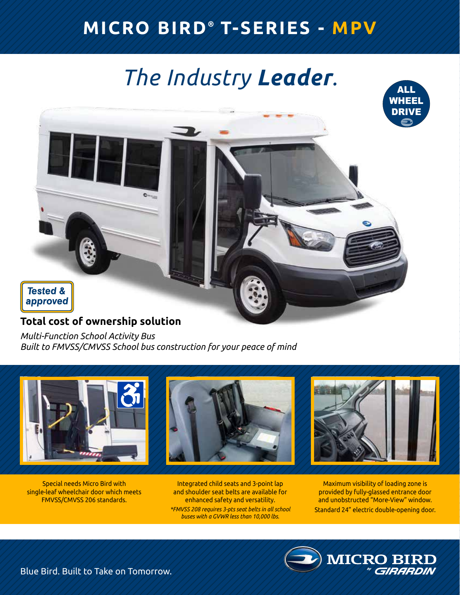## **MICRO BIRD ® T-SERIES - MPV**

# *The Industry Leader.*



### **Total cost of ownership solution**

*Multi-Function School Activity Bus Built to FMVSS/CMVSS School bus construction for your peace of mind*



Special needs Micro Bird with single-leaf wheelchair door which meets FMVSS/CMVSS 206 standards.

Integrated child seats and 3-point lap and shoulder seat belts are available for enhanced safety and versatility. *\*FMVSS 208 requires 3-pts seat belts in all school buses with a GVWR less than 10,000 lbs.*

Maximum visibility of loading zone is provided by fully-glassed entrance door and unobstructed "More-View" window. Standard 24" electric double-opening door.

**MICRO BI** 

ALL

Blue Bird. Built to Take on Tomorrow.